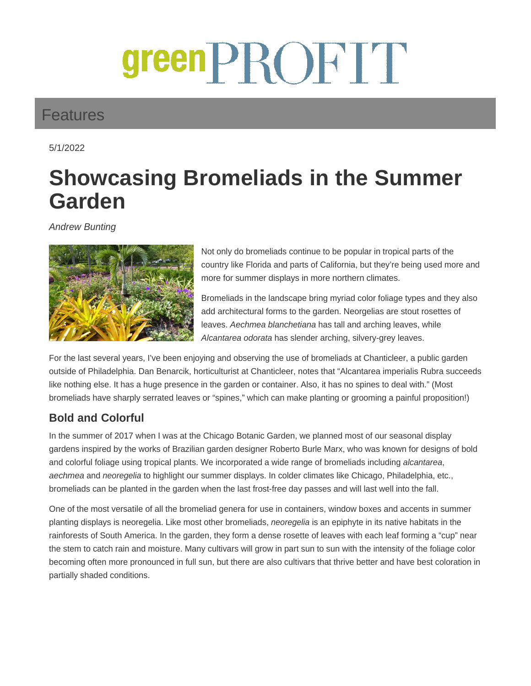# greenPROFIT

## Features

5/1/2022

# **Showcasing Bromeliads in the Summer Garden**

Andrew Bunting



Not only do bromeliads continue to be popular in tropical parts of the country like Florida and parts of California, but they're being used more and more for summer displays in more northern climates.

Bromeliads in the landscape bring myriad color foliage types and they also add architectural forms to the garden. Neorgelias are stout rosettes of leaves. Aechmea blanchetiana has tall and arching leaves, while Alcantarea odorata has slender arching, silvery-grey leaves.

For the last several years, I've been enjoying and observing the use of bromeliads at Chanticleer, a public garden outside of Philadelphia. Dan Benarcik, horticulturist at Chanticleer, notes that "Alcantarea imperialis Rubra succeeds like nothing else. It has a huge presence in the garden or container. Also, it has no spines to deal with." (Most bromeliads have sharply serrated leaves or "spines," which can make planting or grooming a painful proposition!)

### **Bold and Colorful**

In the summer of 2017 when I was at the Chicago Botanic Garden, we planned most of our seasonal display gardens inspired by the works of Brazilian garden designer Roberto Burle Marx, who was known for designs of bold and colorful foliage using tropical plants. We incorporated a wide range of bromeliads including alcantarea, aechmea and neoregelia to highlight our summer displays. In colder climates like Chicago, Philadelphia, etc., bromeliads can be planted in the garden when the last frost-free day passes and will last well into the fall.

One of the most versatile of all the bromeliad genera for use in containers, window boxes and accents in summer planting displays is neoregelia. Like most other bromeliads, neoregelia is an epiphyte in its native habitats in the rainforests of South America. In the garden, they form a dense rosette of leaves with each leaf forming a "cup" near the stem to catch rain and moisture. Many cultivars will grow in part sun to sun with the intensity of the foliage color becoming often more pronounced in full sun, but there are also cultivars that thrive better and have best coloration in partially shaded conditions.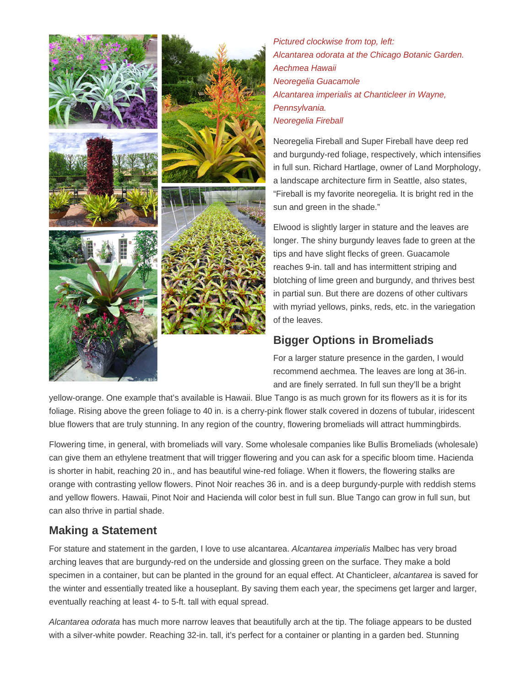

Pictured clockwise from top, left: Alcantarea odorata at the Chicago Botanic Garden. Aechmea Hawaii Neoregelia Guacamole Alcantarea imperialis at Chanticleer in Wayne, Pennsylvania. Neoregelia Fireball

Neoregelia Fireball and Super Fireball have deep red and burgundy-red foliage, respectively, which intensifies in full sun. Richard Hartlage, owner of Land Morphology, a landscape architecture firm in Seattle, also states, "Fireball is my favorite neoregelia. It is bright red in the sun and green in the shade."

Elwood is slightly larger in stature and the leaves are longer. The shiny burgundy leaves fade to green at the tips and have slight flecks of green. Guacamole reaches 9-in. tall and has intermittent striping and blotching of lime green and burgundy, and thrives best in partial sun. But there are dozens of other cultivars with myriad yellows, pinks, reds, etc. in the variegation of the leaves.

#### **Bigger Options in Bromeliads**

For a larger stature presence in the garden, I would recommend aechmea. The leaves are long at 36-in. and are finely serrated. In full sun they'll be a bright

yellow-orange. One example that's available is Hawaii. Blue Tango is as much grown for its flowers as it is for its foliage. Rising above the green foliage to 40 in. is a cherry-pink flower stalk covered in dozens of tubular, iridescent blue flowers that are truly stunning. In any region of the country, flowering bromeliads will attract hummingbirds.

Flowering time, in general, with bromeliads will vary. Some wholesale companies like Bullis Bromeliads (wholesale) can give them an ethylene treatment that will trigger flowering and you can ask for a specific bloom time. Hacienda is shorter in habit, reaching 20 in., and has beautiful wine-red foliage. When it flowers, the flowering stalks are orange with contrasting yellow flowers. Pinot Noir reaches 36 in. and is a deep burgundy-purple with reddish stems and yellow flowers. Hawaii, Pinot Noir and Hacienda will color best in full sun. Blue Tango can grow in full sun, but can also thrive in partial shade.

#### **Making a Statement**

For stature and statement in the garden, I love to use alcantarea. Alcantarea imperialis Malbec has very broad arching leaves that are burgundy-red on the underside and glossing green on the surface. They make a bold specimen in a container, but can be planted in the ground for an equal effect. At Chanticleer, alcantarea is saved for the winter and essentially treated like a houseplant. By saving them each year, the specimens get larger and larger, eventually reaching at least 4- to 5-ft. tall with equal spread.

Alcantarea odorata has much more narrow leaves that beautifully arch at the tip. The foliage appears to be dusted with a silver-white powder. Reaching 32-in. tall, it's perfect for a container or planting in a garden bed. Stunning